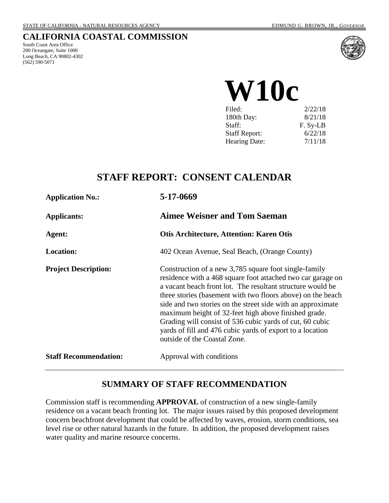### **CALIFORNIA COASTAL COMMISSION**

South Coast Area Office 200 Oceangate, Suite 1000 Long Beach, CA 90802-4302 (562) 590-5071



Filed: 2/22/18 180th Day: 8/21/18 Staff: F. Sy-LB<br>Staff Report: 6/22/18 **W10c**

Hearing Date:  $7/11/18$ 

Staff Report:

## **STAFF REPORT: CONSENT CALENDAR**

| <b>Application No.:</b>      | 5-17-0669                                                                                                                                                                                                                                                                                                                                                                                                                                                                                                                         |
|------------------------------|-----------------------------------------------------------------------------------------------------------------------------------------------------------------------------------------------------------------------------------------------------------------------------------------------------------------------------------------------------------------------------------------------------------------------------------------------------------------------------------------------------------------------------------|
| <b>Applicants:</b>           | <b>Aimee Weisner and Tom Saeman</b>                                                                                                                                                                                                                                                                                                                                                                                                                                                                                               |
| Agent:                       | <b>Otis Architecture, Attention: Karen Otis</b>                                                                                                                                                                                                                                                                                                                                                                                                                                                                                   |
| <b>Location:</b>             | 402 Ocean Avenue, Seal Beach, (Orange County)                                                                                                                                                                                                                                                                                                                                                                                                                                                                                     |
| <b>Project Description:</b>  | Construction of a new 3,785 square foot single-family<br>residence with a 468 square foot attached two car garage on<br>a vacant beach front lot. The resultant structure would be<br>three stories (basement with two floors above) on the beach<br>side and two stories on the street side with an approximate<br>maximum height of 32-feet high above finished grade.<br>Grading will consist of 536 cubic yards of cut, 60 cubic<br>yards of fill and 476 cubic yards of export to a location<br>outside of the Coastal Zone. |
| <b>Staff Recommendation:</b> | Approval with conditions                                                                                                                                                                                                                                                                                                                                                                                                                                                                                                          |

## **SUMMARY OF STAFF RECOMMENDATION**

Commission staff is recommending **APPROVAL** of construction of a new single-family residence on a vacant beach fronting lot. The major issues raised by this proposed development concern beachfront development that could be affected by waves, erosion, storm conditions, sea level rise or other natural hazards in the future. In addition, the proposed development raises water quality and marine resource concerns.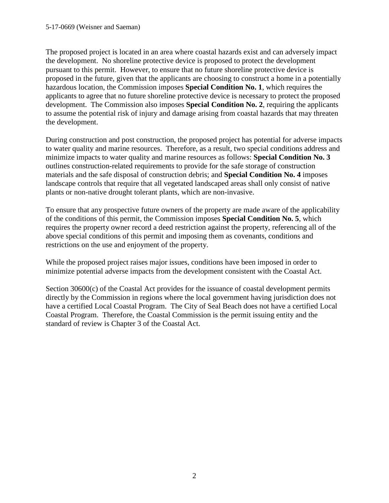The proposed project is located in an area where coastal hazards exist and can adversely impact the development. No shoreline protective device is proposed to protect the development pursuant to this permit. However, to ensure that no future shoreline protective device is proposed in the future, given that the applicants are choosing to construct a home in a potentially hazardous location, the Commission imposes **Special Condition No. 1**, which requires the applicants to agree that no future shoreline protective device is necessary to protect the proposed development. The Commission also imposes **Special Condition No. 2**, requiring the applicants to assume the potential risk of injury and damage arising from coastal hazards that may threaten the development.

During construction and post construction, the proposed project has potential for adverse impacts to water quality and marine resources. Therefore, as a result, two special conditions address and minimize impacts to water quality and marine resources as follows: **Special Condition No. 3** outlines construction-related requirements to provide for the safe storage of construction materials and the safe disposal of construction debris; and **Special Condition No. 4** imposes landscape controls that require that all vegetated landscaped areas shall only consist of native plants or non-native drought tolerant plants, which are non-invasive.

To ensure that any prospective future owners of the property are made aware of the applicability of the conditions of this permit, the Commission imposes **Special Condition No. 5**, which requires the property owner record a deed restriction against the property, referencing all of the above special conditions of this permit and imposing them as covenants, conditions and restrictions on the use and enjoyment of the property.

While the proposed project raises major issues, conditions have been imposed in order to minimize potential adverse impacts from the development consistent with the Coastal Act.

Section 30600(c) of the Coastal Act provides for the issuance of coastal development permits directly by the Commission in regions where the local government having jurisdiction does not have a certified Local Coastal Program. The City of Seal Beach does not have a certified Local Coastal Program. Therefore, the Coastal Commission is the permit issuing entity and the standard of review is Chapter 3 of the Coastal Act.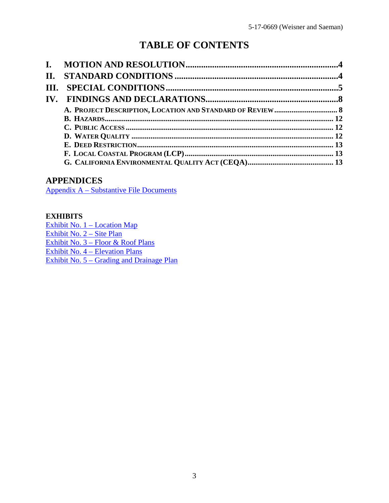# **TABLE OF CONTENTS**

| II.  |  |
|------|--|
| III. |  |
|      |  |
|      |  |
|      |  |
|      |  |
|      |  |
|      |  |
|      |  |
|      |  |

## **APPENDICES**

[Appendix A – Substantive File Documents](#page-14-0)

### **EXHIBITS**

[Exhibit No. 1 – Location Map](https://documents.coastal.ca.gov/reports/2018/7/w10c/w10c-7-2018-exhibits.pdf) [Exhibit No. 2 – Site Plan](https://documents.coastal.ca.gov/reports/2018/7/w10c/w10c-7-2018-exhibits.pdf) [Exhibit No. 3 – Floor & Roof Plans](https://documents.coastal.ca.gov/reports/2018/7/w10c/w10c-7-2018-exhibits.pdf) [Exhibit No. 4 – Elevation Plans](https://documents.coastal.ca.gov/reports/2018/7/w10c/w10c-7-2018-exhibits.pdf) [Exhibit No. 5 – Grading and Drainage Plan](https://documents.coastal.ca.gov/reports/2018/7/w10c/w10c-7-2018-exhibits.pdf)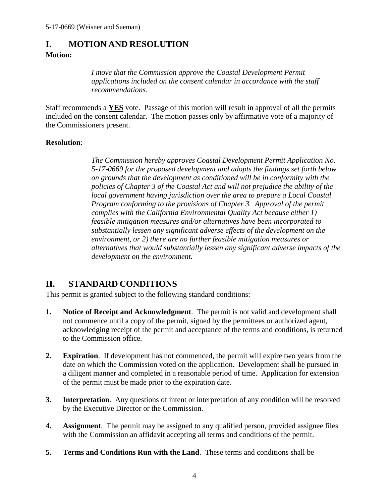## <span id="page-3-0"></span>**I. MOTION AND RESOLUTION**

### **Motion:**

*I move that the Commission approve the Coastal Development Permit applications included on the consent calendar in accordance with the staff recommendations.*

Staff recommends a **YES** vote. Passage of this motion will result in approval of all the permits included on the consent calendar. The motion passes only by affirmative vote of a majority of the Commissioners present.

### **Resolution**:

*The Commission hereby approves Coastal Development Permit Application No. 5-17-0669 for the proposed development and adopts the findings set forth below on grounds that the development as conditioned will be in conformity with the policies of Chapter 3 of the Coastal Act and will not prejudice the ability of the local government having jurisdiction over the area to prepare a Local Coastal Program conforming to the provisions of Chapter 3. Approval of the permit complies with the California Environmental Quality Act because either 1) feasible mitigation measures and/or alternatives have been incorporated to substantially lessen any significant adverse effects of the development on the environment, or 2) there are no further feasible mitigation measures or alternatives that would substantially lessen any significant adverse impacts of the development on the environment.* 

## <span id="page-3-1"></span>**II. STANDARD CONDITIONS**

This permit is granted subject to the following standard conditions:

- **1. Notice of Receipt and Acknowledgment**. The permit is not valid and development shall not commence until a copy of the permit, signed by the permittees or authorized agent, acknowledging receipt of the permit and acceptance of the terms and conditions, is returned to the Commission office.
- **2. Expiration**. If development has not commenced, the permit will expire two years from the date on which the Commission voted on the application. Development shall be pursued in a diligent manner and completed in a reasonable period of time. Application for extension of the permit must be made prior to the expiration date.
- **3.** Interpretation. Any questions of intent or interpretation of any condition will be resolved by the Executive Director or the Commission.
- **4. Assignment**. The permit may be assigned to any qualified person, provided assignee files with the Commission an affidavit accepting all terms and conditions of the permit.
- **5. Terms and Conditions Run with the Land**. These terms and conditions shall be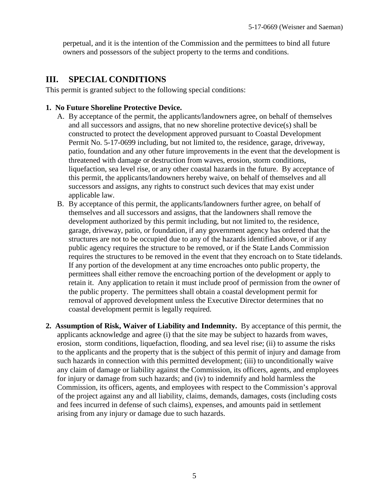perpetual, and it is the intention of the Commission and the permittees to bind all future owners and possessors of the subject property to the terms and conditions.

## <span id="page-4-0"></span>**III. SPECIAL CONDITIONS**

This permit is granted subject to the following special conditions:

### **1. No Future Shoreline Protective Device.**

- A. By acceptance of the permit, the applicants/landowners agree, on behalf of themselves and all successors and assigns, that no new shoreline protective device(s) shall be constructed to protect the development approved pursuant to Coastal Development Permit No. 5-17-0699 including, but not limited to, the residence, garage, driveway, patio, foundation and any other future improvements in the event that the development is threatened with damage or destruction from waves, erosion, storm conditions, liquefaction, sea level rise, or any other coastal hazards in the future. By acceptance of this permit, the applicants/landowners hereby waive, on behalf of themselves and all successors and assigns, any rights to construct such devices that may exist under applicable law.
- B. By acceptance of this permit, the applicants/landowners further agree, on behalf of themselves and all successors and assigns, that the landowners shall remove the development authorized by this permit including, but not limited to, the residence, garage, driveway, patio, or foundation, if any government agency has ordered that the structures are not to be occupied due to any of the hazards identified above, or if any public agency requires the structure to be removed, or if the State Lands Commission requires the structures to be removed in the event that they encroach on to State tidelands. If any portion of the development at any time encroaches onto public property, the permittees shall either remove the encroaching portion of the development or apply to retain it. Any application to retain it must include proof of permission from the owner of the public property. The permittees shall obtain a coastal development permit for removal of approved development unless the Executive Director determines that no coastal development permit is legally required.
- **2. Assumption of Risk, Waiver of Liability and Indemnity.** By acceptance of this permit, the applicants acknowledge and agree (i) that the site may be subject to hazards from waves, erosion, storm conditions, liquefaction, flooding, and sea level rise; (ii) to assume the risks to the applicants and the property that is the subject of this permit of injury and damage from such hazards in connection with this permitted development; (iii) to unconditionally waive any claim of damage or liability against the Commission, its officers, agents, and employees for injury or damage from such hazards; and (iv) to indemnify and hold harmless the Commission, its officers, agents, and employees with respect to the Commission's approval of the project against any and all liability, claims, demands, damages, costs (including costs and fees incurred in defense of such claims), expenses, and amounts paid in settlement arising from any injury or damage due to such hazards.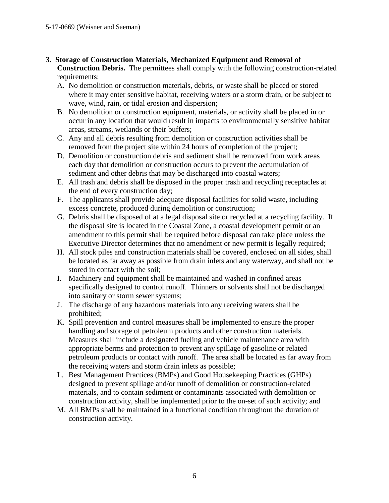- **3. Storage of Construction Materials, Mechanized Equipment and Removal of Construction Debris.** The permittees shall comply with the following construction-related requirements:
	- A. No demolition or construction materials, debris, or waste shall be placed or stored where it may enter sensitive habitat, receiving waters or a storm drain, or be subject to wave, wind, rain, or tidal erosion and dispersion;
	- B. No demolition or construction equipment, materials, or activity shall be placed in or occur in any location that would result in impacts to environmentally sensitive habitat areas, streams, wetlands or their buffers;
	- C. Any and all debris resulting from demolition or construction activities shall be removed from the project site within 24 hours of completion of the project;
	- D. Demolition or construction debris and sediment shall be removed from work areas each day that demolition or construction occurs to prevent the accumulation of sediment and other debris that may be discharged into coastal waters;
	- E. All trash and debris shall be disposed in the proper trash and recycling receptacles at the end of every construction day;
	- F. The applicants shall provide adequate disposal facilities for solid waste, including excess concrete, produced during demolition or construction;
	- G. Debris shall be disposed of at a legal disposal site or recycled at a recycling facility. If the disposal site is located in the Coastal Zone, a coastal development permit or an amendment to this permit shall be required before disposal can take place unless the Executive Director determines that no amendment or new permit is legally required;
	- H. All stock piles and construction materials shall be covered, enclosed on all sides, shall be located as far away as possible from drain inlets and any waterway, and shall not be stored in contact with the soil;
	- I. Machinery and equipment shall be maintained and washed in confined areas specifically designed to control runoff. Thinners or solvents shall not be discharged into sanitary or storm sewer systems;
	- J. The discharge of any hazardous materials into any receiving waters shall be prohibited;
	- K. Spill prevention and control measures shall be implemented to ensure the proper handling and storage of petroleum products and other construction materials. Measures shall include a designated fueling and vehicle maintenance area with appropriate berms and protection to prevent any spillage of gasoline or related petroleum products or contact with runoff. The area shall be located as far away from the receiving waters and storm drain inlets as possible;
	- L. Best Management Practices (BMPs) and Good Housekeeping Practices (GHPs) designed to prevent spillage and/or runoff of demolition or construction-related materials, and to contain sediment or contaminants associated with demolition or construction activity, shall be implemented prior to the on-set of such activity; and
	- M. All BMPs shall be maintained in a functional condition throughout the duration of construction activity.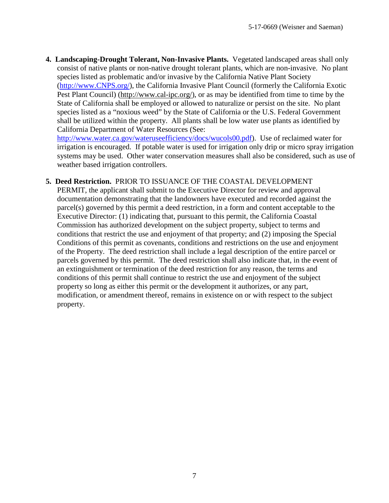**4. Landscaping-Drought Tolerant, Non-Invasive Plants.** Vegetated landscaped areas shall only consist of native plants or non-native drought tolerant plants, which are non-invasive. No plant species listed as problematic and/or invasive by the California Native Plant Society [\(http://www.CNPS.org/\)](http://www.cnps.org/), the California Invasive Plant Council (formerly the California Exotic Pest Plant Council) [\(http://www.cal-ipc.org/\)](http://www.cal-ipc.org/), or as may be identified from time to time by the State of California shall be employed or allowed to naturalize or persist on the site. No plant species listed as a "noxious weed" by the State of California or the U.S. Federal Government shall be utilized within the property. All plants shall be low water use plants as identified by California Department of Water Resources (See:

[http://www.water.ca.gov/wateruseefficiency/docs/wucols00.pdf\)](http://www.water.ca.gov/wateruseefficiency/docs/wucols00.pdf). Use of reclaimed water for irrigation is encouraged. If potable water is used for irrigation only drip or micro spray irrigation systems may be used. Other water conservation measures shall also be considered, such as use of weather based irrigation controllers.

### **5. Deed Restriction.** PRIOR TO ISSUANCE OF THE COASTAL DEVELOPMENT

PERMIT, the applicant shall submit to the Executive Director for review and approval documentation demonstrating that the landowners have executed and recorded against the parcel(s) governed by this permit a deed restriction, in a form and content acceptable to the Executive Director: (1) indicating that, pursuant to this permit, the California Coastal Commission has authorized development on the subject property, subject to terms and conditions that restrict the use and enjoyment of that property; and (2) imposing the Special Conditions of this permit as covenants, conditions and restrictions on the use and enjoyment of the Property. The deed restriction shall include a legal description of the entire parcel or parcels governed by this permit. The deed restriction shall also indicate that, in the event of an extinguishment or termination of the deed restriction for any reason, the terms and conditions of this permit shall continue to restrict the use and enjoyment of the subject property so long as either this permit or the development it authorizes, or any part, modification, or amendment thereof, remains in existence on or with respect to the subject property.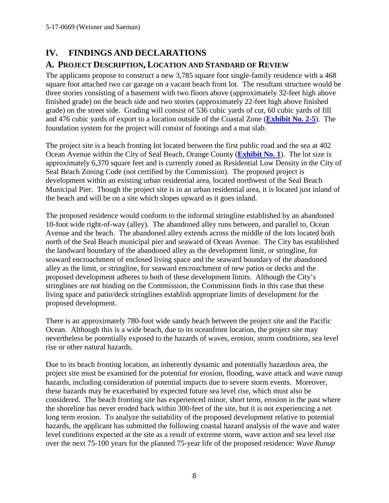## <span id="page-7-0"></span>**IV. FINDINGS AND DECLARATIONS**

## <span id="page-7-1"></span>**A. PROJECT DESCRIPTION, LOCATION AND STANDARD OF REVIEW**

The applicants propose to construct a new 3,785 square foot single-family residence with a 468 square foot attached two car garage on a vacant beach front lot. The resultant structure would be three stories consisting of a basement with two floors above (approximately 32-feet high above finished grade) on the beach side and two stories (approximately 22-feet high above finished grade) on the street side. Grading will consist of 536 cubic yards of cut, 60 cubic yards of fill and 476 cubic yards of export to a location outside of the Coastal Zone (**[Exhibit No. 2-5](https://documents.coastal.ca.gov/reports/2018/7/w10c/w10c-7-2018-exhibits.pdf)**). The foundation system for the project will consist of footings and a mat slab.

The project site is a beach fronting lot located between the first public road and the sea at 402 Ocean Avenue within the City of Seal Beach, Orange County (**[Exhibit No. 1](https://documents.coastal.ca.gov/reports/2018/7/w10c/w10c-7-2018-exhibits.pdf)**). The lot size is approximately 6,370 square feet and is currently zoned as Residential Low Density in the City of Seal Beach Zoning Code (not certified by the Commission). The proposed project is development within an existing urban residential area, located northwest of the Seal Beach Municipal Pier. Though the project site is in an urban residential area, it is located just inland of the beach and will be on a site which slopes upward as it goes inland.

The proposed residence would conform to the informal stringline established by an abandoned 10-foot wide right-of-way (alley). The abandoned alley runs between, and parallel to, Ocean Avenue and the beach. The abandoned alley extends across the middle of the lots located both north of the Seal Beach municipal pier and seaward of Ocean Avenue. The City has established the landward boundary of the abandoned alley as the development limit, or stringline, for seaward encroachment of enclosed living space and the seaward boundary of the abandoned alley as the limit, or stringline, for seaward encroachment of new patios or decks and the proposed development adheres to both of these development limits. Although the City's stringlines are not binding on the Commission, the Commission finds in this case that these living space and patio/deck stringlines establish appropriate limits of development for the proposed development.

There is an approximately 780-foot wide sandy beach between the project site and the Pacific Ocean. Although this is a wide beach, due to its oceanfront location, the project site may nevertheless be potentially exposed to the hazards of waves, erosion, storm conditions, sea level rise or other natural hazards.

Due to its beach fronting location, an inherently dynamic and potentially hazardous area, the project site must be examined for the potential for erosion, flooding, wave attack and wave runup hazards, including consideration of potential impacts due to severe storm events. Moreover, these hazards may be exacerbated by expected future sea level rise, which must also be considered. The beach fronting site has experienced minor, short term, erosion in the past where the shoreline has never eroded back within 300-feet of the site, but it is not experiencing a net long term erosion. To analyze the suitability of the proposed development relative to potential hazards, the applicant has submitted the following coastal hazard analysis of the wave and water level conditions expected at the site as a result of extreme storm, wave action and sea level rise over the next 75-100 years for the planned 75-year life of the proposed residence: *Wave Runup*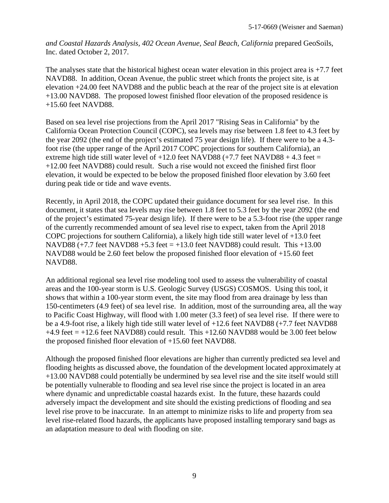*and Coastal Hazards Analysis, 402 Ocean Avenue, Seal Beach, California* prepared GeoSoils, Inc. dated October 2, 2017.

The analyses state that the historical highest ocean water elevation in this project area is  $+7.7$  feet NAVD88. In addition, Ocean Avenue, the public street which fronts the project site, is at elevation +24.00 feet NAVD88 and the public beach at the rear of the project site is at elevation +13.00 NAVD88. The proposed lowest finished floor elevation of the proposed residence is +15.60 feet NAVD88.

Based on sea level rise projections from the April 2017 "Rising Seas in California" by the California Ocean Protection Council (COPC), sea levels may rise between 1.8 feet to 4.3 feet by the year 2092 (the end of the project's estimated 75 year design life). If there were to be a 4.3 foot rise (the upper range of the April 2017 COPC projections for southern California), an extreme high tide still water level of  $+12.0$  feet NAVD88 ( $+7.7$  feet NAVD88  $+4.3$  feet = +12.00 feet NAVD88) could result. Such a rise would not exceed the finished first floor elevation, it would be expected to be below the proposed finished floor elevation by 3.60 feet during peak tide or tide and wave events.

Recently, in April 2018, the COPC updated their guidance document for sea level rise. In this document, it states that sea levels may rise between 1.8 feet to 5.3 feet by the year 2092 (the end of the project's estimated 75-year design life). If there were to be a 5.3-foot rise (the upper range of the currently recommended amount of sea level rise to expect, taken from the April 2018 COPC projections for southern California), a likely high tide still water level of +13.0 feet NAVD88 (+7.7 feet NAVD88 +5.3 feet = +13.0 feet NAVD88) could result. This +13.00 NAVD88 would be 2.60 feet below the proposed finished floor elevation of +15.60 feet NAVD88.

An additional regional sea level rise modeling tool used to assess the vulnerability of coastal areas and the 100-year storm is U.S. Geologic Survey (USGS) COSMOS. Using this tool, it shows that within a 100-year storm event, the site may flood from area drainage by less than 150-centimeters (4.9 feet) of sea level rise. In addition, most of the surrounding area, all the way to Pacific Coast Highway, will flood with 1.00 meter (3.3 feet) of sea level rise. If there were to be a 4.9-foot rise, a likely high tide still water level of +12.6 feet NAVD88 (+7.7 feet NAVD88  $+4.9$  feet  $= +12.6$  feet NAVD88) could result. This  $+12.60$  NAVD88 would be 3.00 feet below the proposed finished floor elevation of +15.60 feet NAVD88.

Although the proposed finished floor elevations are higher than currently predicted sea level and flooding heights as discussed above, the foundation of the development located approximately at +13.00 NAVD88 could potentially be undermined by sea level rise and the site itself would still be potentially vulnerable to flooding and sea level rise since the project is located in an area where dynamic and unpredictable coastal hazards exist. In the future, these hazards could adversely impact the development and site should the existing predictions of flooding and sea level rise prove to be inaccurate. In an attempt to minimize risks to life and property from sea level rise-related flood hazards, the applicants have proposed installing temporary sand bags as an adaptation measure to deal with flooding on site.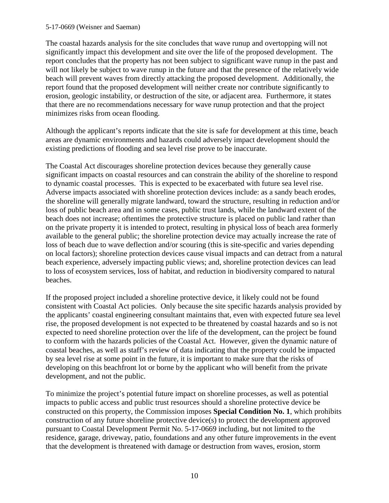#### 5-17-0669 (Weisner and Saeman)

The coastal hazards analysis for the site concludes that wave runup and overtopping will not significantly impact this development and site over the life of the proposed development. The report concludes that the property has not been subject to significant wave runup in the past and will not likely be subject to wave runup in the future and that the presence of the relatively wide beach will prevent waves from directly attacking the proposed development. Additionally, the report found that the proposed development will neither create nor contribute significantly to erosion, geologic instability, or destruction of the site, or adjacent area. Furthermore, it states that there are no recommendations necessary for wave runup protection and that the project minimizes risks from ocean flooding.

Although the applicant's reports indicate that the site is safe for development at this time, beach areas are dynamic environments and hazards could adversely impact development should the existing predictions of flooding and sea level rise prove to be inaccurate.

The Coastal Act discourages shoreline protection devices because they generally cause significant impacts on coastal resources and can constrain the ability of the shoreline to respond to dynamic coastal processes. This is expected to be exacerbated with future sea level rise. Adverse impacts associated with shoreline protection devices include: as a sandy beach erodes, the shoreline will generally migrate landward, toward the structure, resulting in reduction and/or loss of public beach area and in some cases, public trust lands, while the landward extent of the beach does not increase; oftentimes the protective structure is placed on public land rather than on the private property it is intended to protect, resulting in physical loss of beach area formerly available to the general public; the shoreline protection device may actually increase the rate of loss of beach due to wave deflection and/or scouring (this is site-specific and varies depending on local factors); shoreline protection devices cause visual impacts and can detract from a natural beach experience, adversely impacting public views; and, shoreline protection devices can lead to loss of ecosystem services, loss of habitat, and reduction in biodiversity compared to natural beaches.

If the proposed project included a shoreline protective device, it likely could not be found consistent with Coastal Act policies. Only because the site specific hazards analysis provided by the applicants' coastal engineering consultant maintains that, even with expected future sea level rise, the proposed development is not expected to be threatened by coastal hazards and so is not expected to need shoreline protection over the life of the development, can the project be found to conform with the hazards policies of the Coastal Act. However, given the dynamic nature of coastal beaches, as well as staff's review of data indicating that the property could be impacted by sea level rise at some point in the future, it is important to make sure that the risks of developing on this beachfront lot or borne by the applicant who will benefit from the private development, and not the public.

To minimize the project's potential future impact on shoreline processes, as well as potential impacts to public access and public trust resources should a shoreline protective device be constructed on this property, the Commission imposes **Special Condition No. 1**, which prohibits construction of any future shoreline protective device(s) to protect the development approved pursuant to Coastal Development Permit No. 5-17-0669 including, but not limited to the residence, garage, driveway, patio, foundations and any other future improvements in the event that the development is threatened with damage or destruction from waves, erosion, storm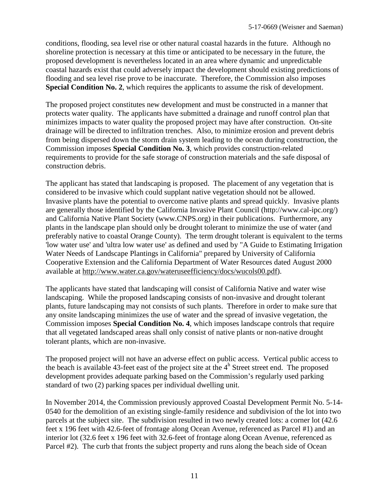conditions, flooding, sea level rise or other natural coastal hazards in the future. Although no shoreline protection is necessary at this time or anticipated to be necessary in the future, the proposed development is nevertheless located in an area where dynamic and unpredictable coastal hazards exist that could adversely impact the development should existing predictions of flooding and sea level rise prove to be inaccurate. Therefore, the Commission also imposes **Special Condition No. 2**, which requires the applicants to assume the risk of development.

The proposed project constitutes new development and must be constructed in a manner that protects water quality. The applicants have submitted a drainage and runoff control plan that minimizes impacts to water quality the proposed project may have after construction. On-site drainage will be directed to infiltration trenches. Also, to minimize erosion and prevent debris from being dispersed down the storm drain system leading to the ocean during construction, the Commission imposes **Special Condition No. 3**, which provides construction-related requirements to provide for the safe storage of construction materials and the safe disposal of construction debris.

The applicant has stated that landscaping is proposed. The placement of any vegetation that is considered to be invasive which could supplant native vegetation should not be allowed. Invasive plants have the potential to overcome native plants and spread quickly. Invasive plants are generally those identified by the California Invasive Plant Council (http://www.cal-ipc.org/) and California Native Plant Society (www.CNPS.org) in their publications. Furthermore, any plants in the landscape plan should only be drought tolerant to minimize the use of water (and preferably native to coastal Orange County). The term drought tolerant is equivalent to the terms 'low water use' and 'ultra low water use' as defined and used by "A Guide to Estimating Irrigation Water Needs of Landscape Plantings in California" prepared by University of California Cooperative Extension and the California Department of Water Resources dated August 2000 available at [http://www.water.ca.gov/wateruseefficiency/docs/wucols00.pdf\)](http://www.water.ca.gov/wateruseefficiency/docs/wucols00.pdf).

The applicants have stated that landscaping will consist of California Native and water wise landscaping. While the proposed landscaping consists of non-invasive and drought tolerant plants, future landscaping may not consists of such plants. Therefore in order to make sure that any onsite landscaping minimizes the use of water and the spread of invasive vegetation, the Commission imposes **Special Condition No. 4**, which imposes landscape controls that require that all vegetated landscaped areas shall only consist of native plants or non-native drought tolerant plants, which are non-invasive.

The proposed project will not have an adverse effect on public access. Vertical public access to the beach is available 43-feet east of the project site at the  $4<sup>h</sup>$  Street street end. The proposed development provides adequate parking based on the Commission's regularly used parking standard of two (2) parking spaces per individual dwelling unit.

In November 2014, the Commission previously approved Coastal Development Permit No. 5-14- 0540 for the demolition of an existing single-family residence and subdivision of the lot into two parcels at the subject site. The subdivision resulted in two newly created lots: a corner lot (42.6 feet x 196 feet with 42.6-feet of frontage along Ocean Avenue, referenced as Parcel #1) and an interior lot (32.6 feet x 196 feet with 32.6-feet of frontage along Ocean Avenue, referenced as Parcel #2). The curb that fronts the subject property and runs along the beach side of Ocean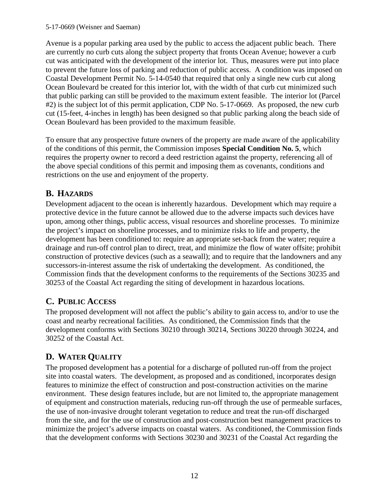### 5-17-0669 (Weisner and Saeman)

Avenue is a popular parking area used by the public to access the adjacent public beach. There are currently no curb cuts along the subject property that fronts Ocean Avenue; however a curb cut was anticipated with the development of the interior lot. Thus, measures were put into place to prevent the future loss of parking and reduction of public access. A condition was imposed on Coastal Development Permit No. 5-14-0540 that required that only a single new curb cut along Ocean Boulevard be created for this interior lot, with the width of that curb cut minimized such that public parking can still be provided to the maximum extent feasible. The interior lot (Parcel #2) is the subject lot of this permit application, CDP No. 5-17-0669. As proposed, the new curb cut (15-feet, 4-inches in length) has been designed so that public parking along the beach side of Ocean Boulevard has been provided to the maximum feasible.

To ensure that any prospective future owners of the property are made aware of the applicability of the conditions of this permit, the Commission imposes **Special Condition No. 5**, which requires the property owner to record a deed restriction against the property, referencing all of the above special conditions of this permit and imposing them as covenants, conditions and restrictions on the use and enjoyment of the property.

## <span id="page-11-0"></span>**B. HAZARDS**

Development adjacent to the ocean is inherently hazardous. Development which may require a protective device in the future cannot be allowed due to the adverse impacts such devices have upon, among other things, public access, visual resources and shoreline processes. To minimize the project's impact on shoreline processes, and to minimize risks to life and property, the development has been conditioned to: require an appropriate set-back from the water; require a drainage and run-off control plan to direct, treat, and minimize the flow of water offsite; prohibit construction of protective devices (such as a seawall); and to require that the landowners and any successors-in-interest assume the risk of undertaking the development. As conditioned, the Commission finds that the development conforms to the requirements of the Sections 30235 and 30253 of the Coastal Act regarding the siting of development in hazardous locations.

## <span id="page-11-1"></span>**C. PUBLIC ACCESS**

The proposed development will not affect the public's ability to gain access to, and/or to use the coast and nearby recreational facilities. As conditioned, the Commission finds that the development conforms with Sections 30210 through 30214, Sections 30220 through 30224, and 30252 of the Coastal Act.

## <span id="page-11-2"></span>**D. WATER QUALITY**

The proposed development has a potential for a discharge of polluted run-off from the project site into coastal waters. The development, as proposed and as conditioned, incorporates design features to minimize the effect of construction and post-construction activities on the marine environment. These design features include, but are not limited to, the appropriate management of equipment and construction materials, reducing run-off through the use of permeable surfaces, the use of non-invasive drought tolerant vegetation to reduce and treat the run-off discharged from the site, and for the use of construction and post-construction best management practices to minimize the project's adverse impacts on coastal waters. As conditioned, the Commission finds that the development conforms with Sections 30230 and 30231 of the Coastal Act regarding the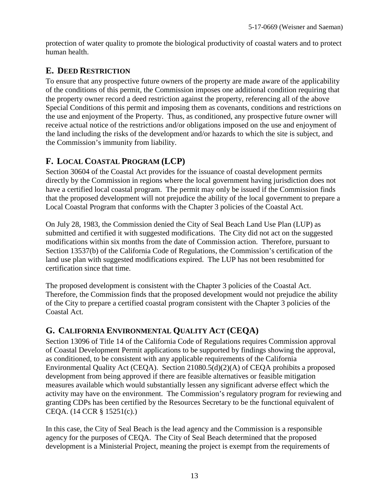protection of water quality to promote the biological productivity of coastal waters and to protect human health.

## <span id="page-12-0"></span>**E. DEED RESTRICTION**

To ensure that any prospective future owners of the property are made aware of the applicability of the conditions of this permit, the Commission imposes one additional condition requiring that the property owner record a deed restriction against the property, referencing all of the above Special Conditions of this permit and imposing them as covenants, conditions and restrictions on the use and enjoyment of the Property. Thus, as conditioned, any prospective future owner will receive actual notice of the restrictions and/or obligations imposed on the use and enjoyment of the land including the risks of the development and/or hazards to which the site is subject, and the Commission's immunity from liability.

## <span id="page-12-1"></span>**F. LOCAL COASTAL PROGRAM (LCP)**

Section 30604 of the Coastal Act provides for the issuance of coastal development permits directly by the Commission in regions where the local government having jurisdiction does not have a certified local coastal program. The permit may only be issued if the Commission finds that the proposed development will not prejudice the ability of the local government to prepare a Local Coastal Program that conforms with the Chapter 3 policies of the Coastal Act.

On July 28, 1983, the Commission denied the City of Seal Beach Land Use Plan (LUP) as submitted and certified it with suggested modifications. The City did not act on the suggested modifications within six months from the date of Commission action. Therefore, pursuant to Section 13537(b) of the California Code of Regulations, the Commission's certification of the land use plan with suggested modifications expired. The LUP has not been resubmitted for certification since that time.

The proposed development is consistent with the Chapter 3 policies of the Coastal Act. Therefore, the Commission finds that the proposed development would not prejudice the ability of the City to prepare a certified coastal program consistent with the Chapter 3 policies of the Coastal Act.

## <span id="page-12-2"></span>**G. CALIFORNIA ENVIRONMENTAL QUALITY ACT (CEQA)**

Section 13096 of Title 14 of the California Code of Regulations requires Commission approval of Coastal Development Permit applications to be supported by findings showing the approval, as conditioned, to be consistent with any applicable requirements of the California Environmental Quality Act (CEQA). Section 21080.5(d)(2)(A) of CEQA prohibits a proposed development from being approved if there are feasible alternatives or feasible mitigation measures available which would substantially lessen any significant adverse effect which the activity may have on the environment. The Commission's regulatory program for reviewing and granting CDPs has been certified by the Resources Secretary to be the functional equivalent of CEQA. (14 CCR § 15251(c).)

In this case, the City of Seal Beach is the lead agency and the Commission is a responsible agency for the purposes of CEQA. The City of Seal Beach determined that the proposed development is a Ministerial Project, meaning the project is exempt from the requirements of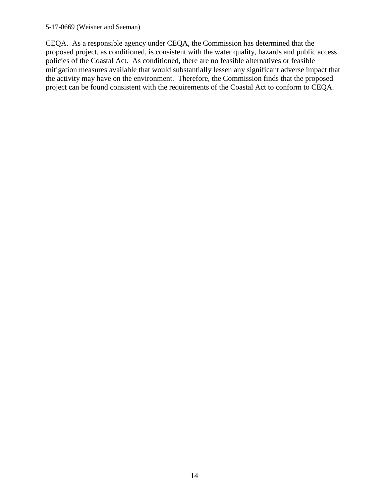#### 5-17-0669 (Weisner and Saeman)

CEQA. As a responsible agency under CEQA, the Commission has determined that the proposed project, as conditioned, is consistent with the water quality, hazards and public access policies of the Coastal Act. As conditioned, there are no feasible alternatives or feasible mitigation measures available that would substantially lessen any significant adverse impact that the activity may have on the environment. Therefore, the Commission finds that the proposed project can be found consistent with the requirements of the Coastal Act to conform to CEQA.